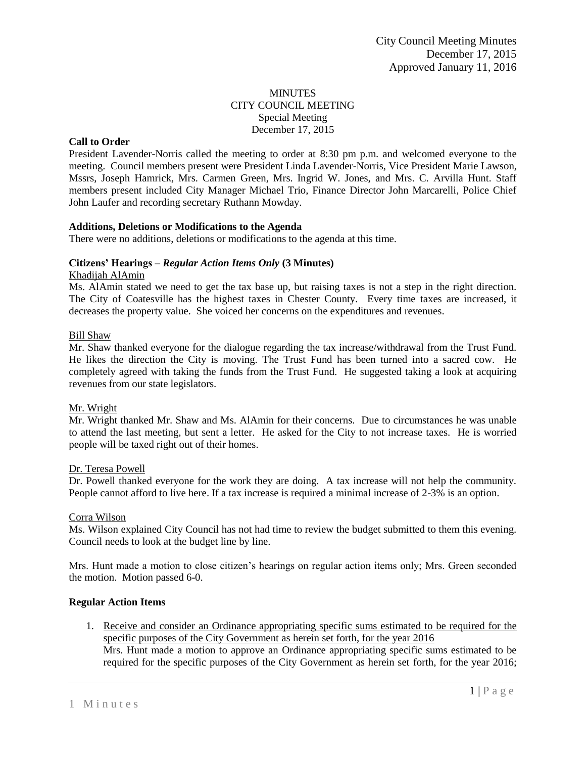# **MINUTES** CITY COUNCIL MEETING Special Meeting December 17, 2015

# **Call to Order**

President Lavender-Norris called the meeting to order at 8:30 pm p.m. and welcomed everyone to the meeting. Council members present were President Linda Lavender-Norris, Vice President Marie Lawson, Mssrs, Joseph Hamrick, Mrs. Carmen Green, Mrs. Ingrid W. Jones, and Mrs. C. Arvilla Hunt. Staff members present included City Manager Michael Trio, Finance Director John Marcarelli, Police Chief John Laufer and recording secretary Ruthann Mowday.

# **Additions, Deletions or Modifications to the Agenda**

There were no additions, deletions or modifications to the agenda at this time.

# **Citizens' Hearings –** *Regular Action Items Only* **(3 Minutes)**

## Khadijah AlAmin

Ms. AlAmin stated we need to get the tax base up, but raising taxes is not a step in the right direction. The City of Coatesville has the highest taxes in Chester County. Every time taxes are increased, it decreases the property value. She voiced her concerns on the expenditures and revenues.

## Bill Shaw

Mr. Shaw thanked everyone for the dialogue regarding the tax increase/withdrawal from the Trust Fund. He likes the direction the City is moving. The Trust Fund has been turned into a sacred cow. He completely agreed with taking the funds from the Trust Fund. He suggested taking a look at acquiring revenues from our state legislators.

# Mr. Wright

Mr. Wright thanked Mr. Shaw and Ms. AlAmin for their concerns. Due to circumstances he was unable to attend the last meeting, but sent a letter. He asked for the City to not increase taxes. He is worried people will be taxed right out of their homes.

#### Dr. Teresa Powell

Dr. Powell thanked everyone for the work they are doing. A tax increase will not help the community. People cannot afford to live here. If a tax increase is required a minimal increase of 2-3% is an option.

# Corra Wilson

Ms. Wilson explained City Council has not had time to review the budget submitted to them this evening. Council needs to look at the budget line by line.

Mrs. Hunt made a motion to close citizen's hearings on regular action items only; Mrs. Green seconded the motion. Motion passed 6-0.

# **Regular Action Items**

1. Receive and consider an Ordinance appropriating specific sums estimated to be required for the specific purposes of the City Government as herein set forth, for the year 2016 Mrs. Hunt made a motion to approve an Ordinance appropriating specific sums estimated to be required for the specific purposes of the City Government as herein set forth, for the year 2016;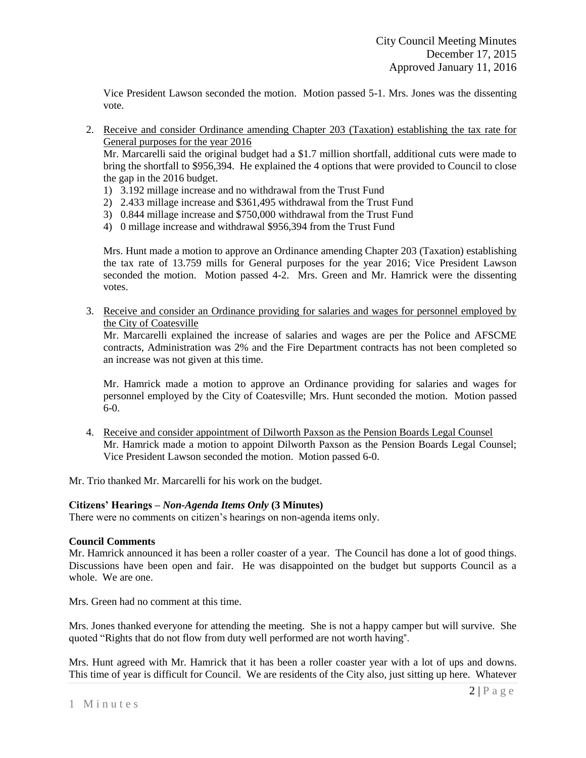Vice President Lawson seconded the motion. Motion passed 5-1. Mrs. Jones was the dissenting vote.

2. Receive and consider Ordinance amending Chapter 203 (Taxation) establishing the tax rate for General purposes for the year 2016

Mr. Marcarelli said the original budget had a \$1.7 million shortfall, additional cuts were made to bring the shortfall to \$956,394. He explained the 4 options that were provided to Council to close the gap in the 2016 budget.

- 1) 3.192 millage increase and no withdrawal from the Trust Fund
- 2) 2.433 millage increase and \$361,495 withdrawal from the Trust Fund
- 3) 0.844 millage increase and \$750,000 withdrawal from the Trust Fund
- 4) 0 millage increase and withdrawal \$956,394 from the Trust Fund

Mrs. Hunt made a motion to approve an Ordinance amending Chapter 203 (Taxation) establishing the tax rate of 13.759 mills for General purposes for the year 2016; Vice President Lawson seconded the motion. Motion passed 4-2. Mrs. Green and Mr. Hamrick were the dissenting votes.

3. Receive and consider an Ordinance providing for salaries and wages for personnel employed by the City of Coatesville

Mr. Marcarelli explained the increase of salaries and wages are per the Police and AFSCME contracts, Administration was 2% and the Fire Department contracts has not been completed so an increase was not given at this time.

Mr. Hamrick made a motion to approve an Ordinance providing for salaries and wages for personnel employed by the City of Coatesville; Mrs. Hunt seconded the motion. Motion passed 6-0.

4. Receive and consider appointment of Dilworth Paxson as the Pension Boards Legal Counsel Mr. Hamrick made a motion to appoint Dilworth Paxson as the Pension Boards Legal Counsel; Vice President Lawson seconded the motion. Motion passed 6-0.

Mr. Trio thanked Mr. Marcarelli for his work on the budget.

# **Citizens' Hearings –** *Non-Agenda Items Only* **(3 Minutes)**

There were no comments on citizen's hearings on non-agenda items only.

# **Council Comments**

Mr. Hamrick announced it has been a roller coaster of a year. The Council has done a lot of good things. Discussions have been open and fair. He was disappointed on the budget but supports Council as a whole. We are one.

Mrs. Green had no comment at this time.

Mrs. Jones thanked everyone for attending the meeting. She is not a happy camper but will survive. She quoted "Rights that do not flow from duty well performed are not worth having".

Mrs. Hunt agreed with Mr. Hamrick that it has been a roller coaster year with a lot of ups and downs. This time of year is difficult for Council. We are residents of the City also, just sitting up here. Whatever